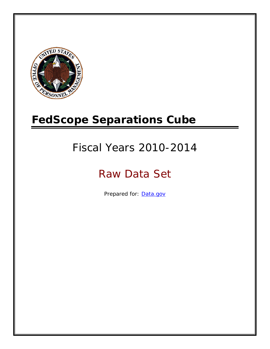

# **FedScope Separations Cube**

# Fiscal Years 2010-2014

# Raw Data Set

Prepared for: [Data.gov](http://www.data.gov/)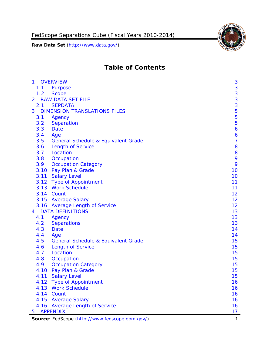

# **Table of Contents**

| $\mathbf{1}$ | <b>OVERVIEW</b>                                 | 3              |
|--------------|-------------------------------------------------|----------------|
| 1.1          | Purpose                                         | 3              |
| 1.2          | <b>Scope</b>                                    | 3              |
| 2            | <b>RAW DATA SET FILE</b>                        |                |
| 2.1          | <b>SEPDATA</b>                                  | $\frac{3}{3}$  |
| 3            | <b>DIMENSION TRANSLATIONS FILES</b>             | 5              |
| 3.1          | Agency                                          | 5              |
| 3.2          | Separation                                      | 5              |
| 3.3          | Date                                            | 6              |
| 3.4          | Age                                             | 6              |
| 3.5          | <b>General Schedule &amp; Equivalent Grade</b>  | $\overline{7}$ |
| 3.6          | <b>Length of Service</b>                        | 8              |
| 3.7          | Location                                        | 8              |
| 3.8          | Occupation                                      | 9              |
| 3.9          | <b>Occupation Category</b>                      | 9              |
|              | 3.10 Pay Plan & Grade                           | 10             |
|              | 3.11 Salary Level                               | 10             |
|              | 3.12 Type of Appointment                        | 11             |
|              | 3.13 Work Schedule                              | 11             |
|              | 3.14 Count                                      | 12             |
|              | 3.15 Average Salary                             | 12             |
|              | 3.16 Average Length of Service                  | 12             |
| 4            | <b>DATA DEFINITIONS</b>                         | 13             |
| 4.1          | Agency                                          | 13             |
| 4.2          | <b>Separations</b>                              | 13             |
| 4.3          | Date                                            | 14             |
| 4.4          | Age                                             | 14             |
| 4.5          | General Schedule & Equivalent Grade             | 15             |
| 4.6          | <b>Length of Service</b>                        | 15             |
| 4.7          | Location                                        | 15             |
| 4.8          | Occupation                                      | 15             |
| 4.9          | <b>Occupation Category</b>                      | 15             |
| 4.10         | Pay Plan & Grade                                | 15             |
|              | 4.11 Salary Level                               | 15             |
| 4.12         | <b>Type of Appointment</b>                      | 16             |
|              | 4.13 Work Schedule                              | 16             |
|              | 4.14 Count                                      | 16             |
|              | 4.15 Average Salary                             | 16             |
|              | 4.16 Average Length of Service                  | 16             |
| 5            | <b>APPENDIX</b>                                 | 17             |
|              | Source: FedScope (http://www.fedscope.opm.gov/) | $\mathbf{1}$   |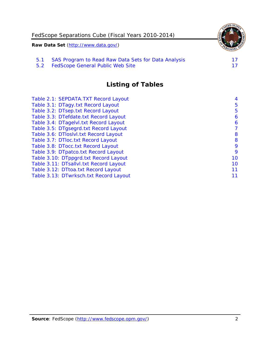

5.2 [FedScope General Public Web Site](#page-17-2)

# **Listing of Tables**

| Table 2.1: SEPDATA. TXT Record Layout  | 4  |
|----------------------------------------|----|
| Table 3.1: DTagy.txt Record Layout     | 5  |
| Table 3.2: DTsep.txt Record Layout     | 5  |
| Table 3.3: DTefdate.txt Record Layout  | 6  |
| Table 3.4: DTagelvl.txt Record Layout  | 6  |
| Table 3.5: DTgsegrd.txt Record Layout  | 7  |
| Table 3.6: DTloslvl.txt Record Layout  | 8  |
| Table 3.7: DTloc.txt Record Layout     | 8  |
| Table 3.8: DTocc.txt Record Layout     | 9  |
| Table 3.9: DTpatco.txt Record Layout   | 9  |
| Table 3.10: DTppgrd.txt Record Layout  | 10 |
| Table 3.11: DTsallvl.txt Record Layout | 10 |
| Table 3.12: DTtoa.txt Record Layout    | 11 |
| Table 3.13: DTwrksch.txt Record Layout | 11 |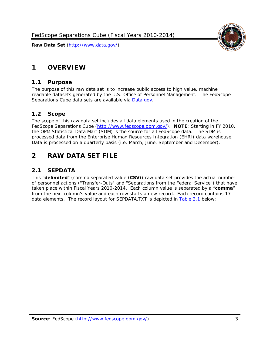

# <span id="page-3-0"></span>**1 OVERVIEW**

#### <span id="page-3-1"></span>*1.1 Purpose*

The purpose of this raw data set is to increase public access to high value, machine readable datasets generated by the U.S. Office of Personnel Management. The FedScope Separations Cube data sets are available via [Data.gov.](http://www.data.gov/)

#### <span id="page-3-2"></span>*1.2 Scope*

The scope of this raw data set includes all data elements used in the creation of the FedScope Separations Cube [\(http://www.fedscope.opm.gov/\)](http://www.fedscope.opm.gov/). **NOTE**: Starting in FY 2010, the OPM Statistical Data Mart (SDM) is the source for all FedScope data. The SDM is processed data from the Enterprise Human Resources Integration (EHRI) data warehouse. Data is processed on a quarterly basis (i.e. March, June, September and December).

## <span id="page-3-3"></span>**2 RAW DATA SET FILE**

## <span id="page-3-4"></span>*2.1 SEPDATA*

This "**delimited**" (comma separated value (**CSV**)) raw data set provides the actual number of personnel actions ("Transfer-Outs" and "Separations from the Federal Service") that have taken place within Fiscal Years 2010-2014. Each column value is separated by a "**comma**" from the next column's value and each row starts a new record. Each record contains 17 data elements. The record layout for SEPDATA.TXT is depicted in [Table 2.1](#page-4-0) below: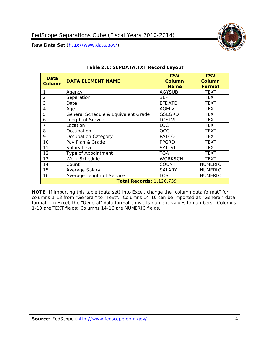

<span id="page-4-0"></span>

| Data<br>Column | <b>DATA ELEMENT NAME</b>            | <b>CSV</b><br><b>Column</b><br><b>Name</b> | <b>CSV</b><br><b>Column</b><br><b>Format</b> |
|----------------|-------------------------------------|--------------------------------------------|----------------------------------------------|
|                | Agency                              | <b>AGYSUB</b>                              | <b>TEXT</b>                                  |
| 2              | Separation                          | <b>SEP</b>                                 | <b>TEXT</b>                                  |
| 3              | Date                                | <b>EFDATE</b>                              | TEXT                                         |
| 4              | Age                                 | <b>AGELVL</b>                              | <b>TEXT</b>                                  |
| 5              | General Schedule & Equivalent Grade | <b>GSEGRD</b>                              | TEXT                                         |
| 6              | Length of Service                   | <b>LOSLVL</b>                              | TEXT                                         |
| 7              | Location                            | <b>LOC</b>                                 | TEXT                                         |
| 8              | Occupation                          | OCC                                        | TEXT                                         |
| 9              | <b>Occupation Category</b>          | <b>PATCO</b>                               | TEXT                                         |
| 10             | Pay Plan & Grade                    | <b>PPGRD</b>                               | TEXT                                         |
| 11             | Salary Level                        | <b>SALLVL</b>                              | TEXT                                         |
| 12             | Type of Appointment                 | <b>TOA</b>                                 | <b>TEXT</b>                                  |
| 13             | Work Schedule                       | <b>WORKSCH</b>                             | TEXT                                         |
| 14             | Count                               | <b>COUNT</b>                               | <b>NUMERIC</b>                               |
| 15             | Average Salary                      | <b>SALARY</b>                              | <b>NUMERIC</b>                               |
| 16             | Average Length of Service           | LOS                                        | <b>NUMERIC</b>                               |
|                | <b>Total Records: 1,126,739</b>     |                                            |                                              |

#### **Table 2.1: SEPDATA.TXT Record Layout**

**NOTE**: If importing this table (data set) into Excel, change the "column data format" for columns 1-13 from "General" to "Text". Columns 14-16 can be imported as "General" data format. In Excel, the "General" data format converts numeric values to numbers. Columns 1-13 are TEXT fields; Columns 14-16 are NUMERIC fields.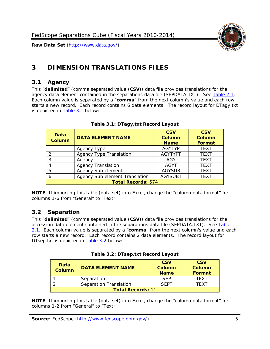

# <span id="page-5-0"></span>**3 DIMENSION TRANSLATIONS FILES**

## <span id="page-5-1"></span>*3.1 Agency*

This "**delimited**" (comma separated value (**CSV**)) data file provides translations for the agency data element contained in the separations data file (SEPDATA.TXT). See [Table 2.1.](#page-4-0) Each column value is separated by a "**comma**" from the next column's value and each row starts a new record. Each record contains 6 data elements. The record layout for DTagy.txt is depicted in [Table 3.1](#page-5-3) below:

<span id="page-5-3"></span>

| Data<br><b>Column</b>     | <b>DATA ELEMENT NAME</b>       | <b>CSV</b><br><b>Column</b><br><b>Name</b> | <b>CSV</b><br>Column<br><b>Format</b> |
|---------------------------|--------------------------------|--------------------------------------------|---------------------------------------|
|                           | Agency Type                    | <b>AGYTYP</b>                              | <b>TEXT</b>                           |
| 2                         | <b>Agency Type Translation</b> | <b>AGYTYPT</b>                             | <b>TEXT</b>                           |
| 3                         | Agency                         | AGY                                        | <b>TEXT</b>                           |
|                           | <b>Agency Translation</b>      | <b>AGYT</b>                                | <b>TEXT</b>                           |
| 5                         | Agency Sub element             | <b>AGYSUB</b>                              | <b>TEXT</b>                           |
|                           | Agency Sub element Translation | <b>AGYSUBT</b>                             | <b>TEXT</b>                           |
| <b>Total Records: 574</b> |                                |                                            |                                       |

#### **Table 3.1: DTagy.txt Record Layout**

**NOTE**: If importing this table (data set) into Excel, change the "column data format" for columns 1-6 from "General" to "Text".

## <span id="page-5-2"></span>*3.2 Separation*

This "**delimited**" (comma separated value (**CSV**)) data file provides translations for the accession data element contained in the separations data file (SEPDATA.TXT). See [Table](#page-4-0)  [2.1.](#page-4-0) Each column value is separated by a "**comma**" from the next column's value and each row starts a new record. Each record contains 2 data elements. The record layout for DTsep.txt is depicted in [Table 3.2](#page-5-4) below:

<span id="page-5-4"></span>

| Data<br><b>Column</b>    | <b>DATA ELEMENT NAME</b> | <b>CSV</b><br>Column<br><b>Name</b> | <b>CSV</b><br>Column<br><b>Format</b> |
|--------------------------|--------------------------|-------------------------------------|---------------------------------------|
|                          | Separation               | <b>SFP</b>                          | TFXT                                  |
|                          | Separation Translation   | SEPT                                | TFXT                                  |
| <b>Total Records: 11</b> |                          |                                     |                                       |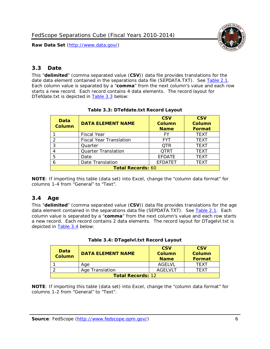

## <span id="page-6-0"></span>*3.3 Date*

This "**delimited**" (comma separated value (**CSV**)) data file provides translations for the date data element contained in the separations data file (SEPDATA.TXT). See [Table 2.1.](#page-4-0) Each column value is separated by a "**comma**" from the next column's value and each row starts a new record. Each record contains 4 data elements. The record layout for DTefdate.txt is depicted in [Table 3.3](#page-6-2) below:

<span id="page-6-2"></span>

| Data<br><b>Column</b>    | <b>DATA ELEMENT NAME</b>       | <b>CSV</b><br>Column<br><b>Name</b> | <b>CSV</b><br>Column<br><b>Format</b> |
|--------------------------|--------------------------------|-------------------------------------|---------------------------------------|
|                          | <b>Fiscal Year</b>             | FY                                  | <b>TEXT</b>                           |
|                          | <b>Fiscal Year Translation</b> | <b>FYT</b>                          | <b>TEXT</b>                           |
| 3                        | Quarter                        | <b>OTR</b>                          | <b>TEXT</b>                           |
| 4                        | <b>Quarter Translation</b>     | <b>QTRT</b>                         | <b>TEXT</b>                           |
| 5                        | Date                           | <b>EFDATE</b>                       | <b>TEXT</b>                           |
| 6                        | Date Translation               | <b>EFDATET</b>                      | TEXT                                  |
| <b>Total Records: 60</b> |                                |                                     |                                       |

#### **Table 3.3: DTefdate.txt Record Layout**

**NOTE**: If importing this table (data set) into Excel, change the "column data format" for columns 1-4 from "General" to "Text".

## <span id="page-6-1"></span>*3.4 Age*

This "**delimited**" (comma separated value (**CSV**)) data file provides translations for the age data element contained in the separations data file (SEPDATA.TXT). See [Table 2.1.](#page-4-0) Each column value is separated by a "**comma**" from the next column's value and each row starts a new record. Each record contains 2 data elements. The record layout for DTagelvl.txt is depicted in [Table 3.4](#page-6-3) below:

|  | Table 3.4: DTagelvl.txt Record Layout |  |
|--|---------------------------------------|--|
|--|---------------------------------------|--|

<span id="page-6-3"></span>

| Data<br>Column           | <b>DATA ELEMENT NAME</b> | <b>CSV</b><br><b>Column</b><br><b>Name</b> | <b>CSV</b><br>Column<br>Format |
|--------------------------|--------------------------|--------------------------------------------|--------------------------------|
|                          | Age                      | AGELVL                                     | <b>TFXT</b>                    |
|                          | Age Translation          | AGELVLT                                    | TFXT                           |
| <b>Total Records: 12</b> |                          |                                            |                                |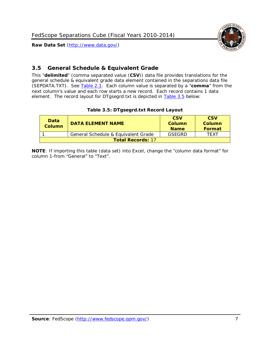



## <span id="page-7-0"></span>*3.5 General Schedule & Equivalent Grade*

This "**delimited**" (comma separated value (**CSV**)) data file provides translations for the general schedule & equivalent grade data element contained in the separations data file (SEPDATA.TXT). See [Table 2.1.](#page-4-0) Each column value is separated by a "**comma**" from the next column's value and each row starts a new record. Each record contains 1 data element. The record layout for DTgsegrd.txt is depicted in [Table 3.5](#page-7-1) below:

|  |  | Table 3.5: DTgsegrd.txt Record Layout |
|--|--|---------------------------------------|
|--|--|---------------------------------------|

<span id="page-7-1"></span>

| <b>Data</b><br>Column    | <b>DATA FI FMFNT NAMF</b>           | <b>CSV</b><br>Column<br><b>Name</b> | <b>CSV</b><br>Column<br><b>Format</b> |
|--------------------------|-------------------------------------|-------------------------------------|---------------------------------------|
|                          | General Schedule & Equivalent Grade | GSFGRD                              | TFXT                                  |
| <b>Total Records: 17</b> |                                     |                                     |                                       |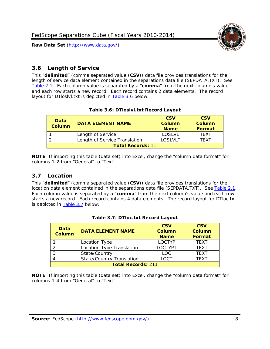

## <span id="page-8-0"></span>*3.6 Length of Service*

This "**delimited**" (comma separated value (**CSV**)) data file provides translations for the length of service data element contained in the separations data file (SEPDATA.TXT). See [Table 2.1.](#page-4-0) Each column value is separated by a "**comma**" from the next column's value and each row starts a new record. Each record contains 2 data elements. The record layout for DTloslvl.txt is depicted in **Table 3.6** below:

#### **Table 3.6: DTloslvl.txt Record Layout**

<span id="page-8-2"></span>

| Data<br><b>Column</b>    | <b>DATA ELEMENT NAME</b>      | <b>CSV</b><br><b>Column</b><br><b>Name</b> | <b>CSV</b><br>Column<br>Format |
|--------------------------|-------------------------------|--------------------------------------------|--------------------------------|
|                          | Length of Service             | LOSLVL                                     | <b>TFXT</b>                    |
|                          | Length of Service Translation | <b>LOSLVLT</b>                             | TFXT                           |
| <b>Total Records: 11</b> |                               |                                            |                                |

**NOTE**: If importing this table (data set) into Excel, change the "column data format" for columns 1-2 from "General" to "Text".

## <span id="page-8-1"></span>*3.7 Location*

This "**delimited**" (comma separated value (**CSV**)) data file provides translations for the location data element contained in the separations data file (SEPDATA.TXT). See [Table 2.1.](#page-4-0) Each column value is separated by a "**comma**" from the next column's value and each row starts a new record. Each record contains 4 data elements. The record layout for DTloc.txt is depicted in [Table 3.7](#page-8-3) below:

<span id="page-8-3"></span>

| Data<br><b>Column</b>     | <b>DATA ELEMENT NAME</b>         | <b>CSV</b><br><b>Column</b><br><b>Name</b> | <b>CSV</b><br><b>Column</b><br><b>Format</b> |
|---------------------------|----------------------------------|--------------------------------------------|----------------------------------------------|
|                           | Location Type                    | <b>LOCTYP</b>                              | <b>TFXT</b>                                  |
| $\mathcal{P}$             | Location Type Translation        | <b>LOCTYPT</b>                             | <b>TFXT</b>                                  |
|                           | State/Country                    | <b>LOC</b>                                 | <b>TFXT</b>                                  |
|                           | <b>State/Country Translation</b> | LOCT                                       | <b>TFXT</b>                                  |
| <b>Total Records: 211</b> |                                  |                                            |                                              |

|  |  | Table 3.7: DTloc.txt Record Layout |  |
|--|--|------------------------------------|--|
|--|--|------------------------------------|--|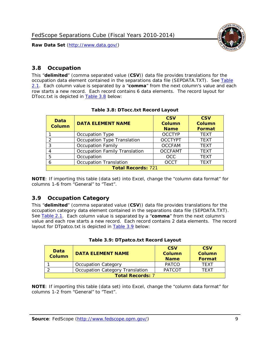

## <span id="page-9-0"></span>*3.8 Occupation*

This "**delimited**" (comma separated value (**CSV**)) data file provides translations for the occupation data element contained in the separations data file (SEPDATA.TXT). See [Table](#page-4-0)  [2.1.](#page-4-0) Each column value is separated by a "**comma**" from the next column's value and each row starts a new record. Each record contains 6 data elements. The record layout for DTocc.txt is depicted in [Table 3.8](#page-9-2) below:

<span id="page-9-2"></span>

| Data<br><b>Column</b>     | <b>DATA ELEMENT NAME</b>             | <b>CSV</b><br><b>Column</b><br><b>Name</b> | <b>CSV</b><br><b>Column</b><br><b>Format</b> |
|---------------------------|--------------------------------------|--------------------------------------------|----------------------------------------------|
|                           | Occupation Type                      | <b>OCCTYP</b>                              | <b>TEXT</b>                                  |
|                           | Occupation Type Translation          | <b>OCCTYPT</b>                             | <b>TEXT</b>                                  |
| 3                         | <b>Occupation Family</b>             | <b>OCCFAM</b>                              | <b>TEXT</b>                                  |
|                           | <b>Occupation Family Translation</b> | <b>OCCFAMT</b>                             | <b>TEXT</b>                                  |
| 5                         | Occupation                           | <b>OCC</b>                                 | <b>TEXT</b>                                  |
|                           | <b>Occupation Translation</b>        | <b>OCCT</b>                                | <b>TEXT</b>                                  |
| <b>Total Records: 721</b> |                                      |                                            |                                              |

**NOTE**: If importing this table (data set) into Excel, change the "column data format" for columns 1-6 from "General" to "Text".

## <span id="page-9-1"></span>*3.9 Occupation Category*

This "**delimited**" (comma separated value (**CSV**)) data file provides translations for the occupation category data element contained in the separations data file (SEPDATA.TXT). See [Table 2.1.](#page-4-0) Each column value is separated by a "**comma**" from the next column's value and each row starts a new record. Each record contains 2 data elements. The record layout for DTpatco.txt is depicted in **Table 3.9** below:

| Table 3.9: DTpatco.txt Record Layout |  |
|--------------------------------------|--|
|                                      |  |

<span id="page-9-3"></span>

| <b>Data</b><br><b>Column</b> | <b>DATA ELEMENT NAME</b>        |               | <b>CSV</b><br><b>Column</b><br>Format |  |
|------------------------------|---------------------------------|---------------|---------------------------------------|--|
|                              | <b>Occupation Category</b>      | <b>PATCO</b>  | <b>TFXT</b>                           |  |
|                              | Occupation Category Translation | <b>PATCOT</b> | <b>TFXT</b>                           |  |
| <b>Total Records: 7</b>      |                                 |               |                                       |  |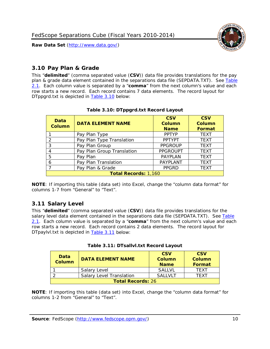

## <span id="page-10-0"></span>*3.10 Pay Plan & Grade*

This "**delimited**" (comma separated value (**CSV**)) data file provides translations for the pay plan & grade data element contained in the separations data file (SEPDATA.TXT). See [Table](#page-4-0)  [2.1.](#page-4-0) Each column value is separated by a "**comma**" from the next column's value and each row starts a new record. Each record contains 7 data elements. The record layout for DTppgrd.txt is depicted in [Table 3.10](#page-10-2) below:

<span id="page-10-2"></span>

| Data<br>Column              | <b>DATA ELEMENT NAME</b>   | <b>CSV</b><br>Column<br><b>Name</b> | <b>CSV</b><br>Column<br><b>Format</b> |  |
|-----------------------------|----------------------------|-------------------------------------|---------------------------------------|--|
|                             | Pay Plan Type              | <b>PPTYP</b>                        | <b>TEXT</b>                           |  |
| っ                           | Pay Plan Type Translation  | <b>PPTYPT</b>                       | <b>TEXT</b>                           |  |
| 3                           | Pay Plan Group             | <b>PPGROUP</b>                      | <b>TEXT</b>                           |  |
| 4                           | Pay Plan Group Translation | <b>PPGROUPT</b>                     | <b>TEXT</b>                           |  |
| 5                           | Pay Plan                   | <b>PAYPLAN</b>                      | <b>TEXT</b>                           |  |
| 6                           | Pay Plan Translation       | PAYPLANT                            | <b>TEXT</b>                           |  |
|                             | Pay Plan & Grade           | <b>PPGRD</b>                        | <b>TEXT</b>                           |  |
| <b>Total Records: 1,160</b> |                            |                                     |                                       |  |

#### **Table 3.10: DTppgrd.txt Record Layout**

**NOTE**: If importing this table (data set) into Excel, change the "column data format" for columns 1-7 from "General" to "Text".

## <span id="page-10-1"></span>*3.11 Salary Level*

This "**delimited**" (comma separated value (**CSV**)) data file provides translations for the salary level data element contained in the separations data file (SEPDATA.TXT). See Table [2.1.](#page-4-0) Each column value is separated by a "**comma**" from the next column's value and each row starts a new record. Each record contains 2 data elements. The record layout for DTpaylvl.txt is depicted in [Table 3.11](#page-10-3) below:

<span id="page-10-3"></span>

| Data<br><b>Column</b>    | <b>DATA ELEMENT NAME</b>        | <b>CSV</b><br><b>Column</b><br><b>Name</b> | <b>CSV</b><br><b>Column</b><br>Format |
|--------------------------|---------------------------------|--------------------------------------------|---------------------------------------|
|                          | Salary Level                    | <b>SALLVL</b>                              | TFXT                                  |
|                          | <b>Salary Level Translation</b> | <b>SALLVLT</b>                             | TFXT                                  |
| <b>Total Records: 26</b> |                                 |                                            |                                       |

|  | Table 3.11: DTsallvl.txt Record Layout |  |
|--|----------------------------------------|--|
|  |                                        |  |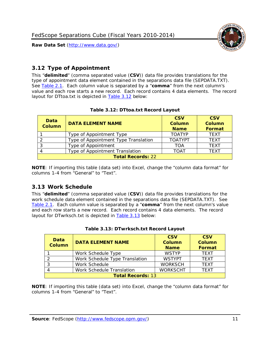

## <span id="page-11-0"></span>*3.12 Type of Appointment*

This "**delimited**" (comma separated value (**CSV**)) data file provides translations for the type of appointment data element contained in the separations data file (SEPDATA.TXT). See [Table 2.1.](#page-4-0) Each column value is separated by a "**comma**" from the next column's value and each row starts a new record. Each record contains 4 data elements. The record layout for DTtoa.txt is depicted in **Table 3.12** below:

<span id="page-11-2"></span>

| Data<br><b>Column</b>    | <b>DATA ELEMENT NAME</b>             | <b>CSV</b><br>Column<br><b>Name</b> | <b>CSV</b><br><b>Column</b><br>Format |  |
|--------------------------|--------------------------------------|-------------------------------------|---------------------------------------|--|
|                          | Type of Appointment Type             | <b>TOATYP</b>                       | <b>TEXT</b>                           |  |
|                          | Type of Appointment Type Translation | <b>TOATYPT</b>                      | <b>TEXT</b>                           |  |
|                          | Type of Appointment                  | TOA                                 | <b>TEXT</b>                           |  |
|                          | Type of Appointment Translation      | <b>TOAT</b>                         | <b>TEXT</b>                           |  |
| <b>Total Records: 22</b> |                                      |                                     |                                       |  |

#### **Table 3.12: DTtoa.txt Record Layout**

**NOTE**: If importing this table (data set) into Excel, change the "column data format" for columns 1-4 from "General" to "Text".

## <span id="page-11-1"></span>*3.13 Work Schedule*

This "**delimited**" (comma separated value (**CSV**)) data file provides translations for the work schedule data element contained in the separations data file (SEPDATA.TXT). See [Table 2.1.](#page-4-0) Each column value is separated by a "**comma**" from the next column's value and each row starts a new record. Each record contains 4 data elements. The record layout for DTwrksch.txt is depicted in **Table 3.13** below:

<span id="page-11-3"></span>

| Data<br><b>Column</b>    | <b>DATA ELEMENT NAME</b>       | <b>CSV</b><br><b>Column</b><br><b>Name</b> | <b>CSV</b><br><b>Column</b><br>Format |  |
|--------------------------|--------------------------------|--------------------------------------------|---------------------------------------|--|
|                          | Work Schedule Type             | <b>WSTYP</b>                               | <b>TEXT</b>                           |  |
|                          | Work Schedule Type Translation | <b>WSTYPT</b>                              | <b>TFXT</b>                           |  |
|                          | Work Schedule                  | <b>WORKSCH</b>                             | <b>TFXT</b>                           |  |
|                          | Work Schedule Translation      | <b>WORKSCHT</b>                            | <b>TFXT</b>                           |  |
| <b>Total Records: 13</b> |                                |                                            |                                       |  |

|  | Table 3.13: DTwrksch.txt Record Layout |  |
|--|----------------------------------------|--|
|  |                                        |  |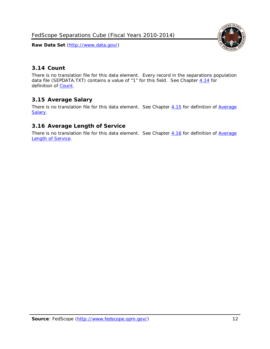FedScope Separations Cube (Fiscal Years 2010-2014)

**Raw Data Set** (http://www.data.gov/)



## <span id="page-12-0"></span>*3.14 Count*

There is no translation file for this data element. Every record in the separations population data file (SEPDATA.TXT) contains a value of "1" for this field. See Chapter [4.14](#page-16-2) for definition of [Count.](#page-16-2)

## <span id="page-12-1"></span>*3.15 Average Salary*

There is no translation file for this data element. See Chapter [4.15](#page-16-3) for definition of Average [Salary.](#page-16-3)

## <span id="page-12-2"></span>*3.16 Average Length of Service*

There is no translation file for this data element. See Chapter [4.16](#page-16-4) for definition of Average [Length of Service.](#page-16-4)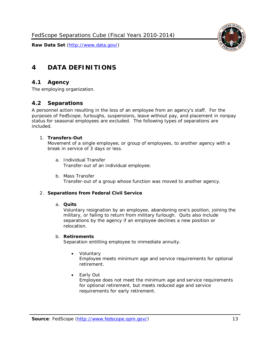

# <span id="page-13-0"></span>**4 DATA DEFINITIONS**

## <span id="page-13-1"></span>*4.1 Agency*

<span id="page-13-2"></span>The employing organization.

## *4.2 Separations*

A personnel action resulting in the loss of an employee from an agency's staff. For the purposes of FedScope, furloughs, suspensions, leave without pay, and placement in nonpay status for seasonal employees are excluded. The following types of separations are included.

#### 1. **Transfers-Out**

Movement of a single employee, or group of employees, to another agency with a break in service of 3 days or less.

- a. *Individual Transfer* Transfer-out of an individual employee.
- b. *Mass Transfer* Transfer-out of a group whose function was moved to another agency.

#### 2. **Separations from Federal Civil Service**

#### a. **Quits**

Voluntary resignation by an employee, abandoning one's position, joining the military, or failing to return from military furlough. Quits also include separations by the agency if an employee declines a new position or relocation.

#### b. **Retirements**

Separation entitling employee to immediate annuity.

• *Voluntary*

Employee meets minimum age and service requirements for optional retirement.

• *Early Out*

Employee does not meet the minimum age and service requirements for optional retirement, but meets reduced age and service requirements for early retirement.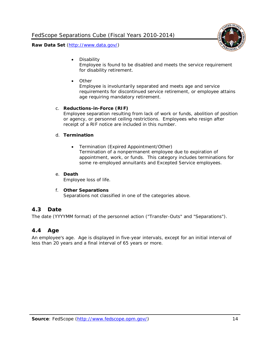

• *Disability*

Employee is found to be disabled and meets the service requirement for disability retirement.

• *Other*

Employee is involuntarily separated and meets age and service requirements for discontinued service retirement, or employee attains age requiring mandatory retirement.

#### c. **Reductions-in-Force (RIF)**

Employee separation resulting from lack of work or funds, abolition of position or agency, or personnel ceiling restrictions. Employees who resign after receipt of a RIF notice are included in this number.

#### d. **Termination**

• *Termination (Expired Appointment/Other)* Termination of a nonpermanent employee due to expiration of appointment, work, or funds. This category includes terminations for some re-employed annuitants and Excepted Service employees.

#### e. **Death**

Employee loss of life.

#### f. **Other Separations**

Separations not classified in one of the categories above.

#### <span id="page-14-0"></span>*4.3 Date*

<span id="page-14-1"></span>The date (YYYYMM format) of the personnel action ("Transfer-Outs" and "Separations").

#### *4.4 Age*

An employee's age. Age is displayed in five-year intervals, except for an initial interval of less than 20 years and a final interval of 65 years or more.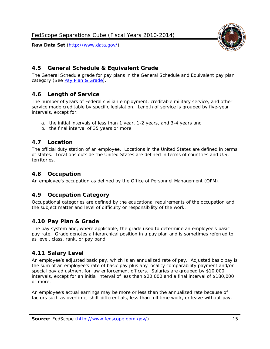

<span id="page-15-0"></span>

The General Schedule grade for pay plans in the General Schedule and Equivalent pay plan category (See [Pay Plan & Grade\)](#page-10-0).

## <span id="page-15-1"></span>*4.6 Length of Service*

The number of years of Federal civilian employment, creditable military service, and other service made creditable by specific legislation. Length of service is grouped by five-year intervals, except for:

- a. the initial intervals of less than 1 year, 1-2 years, and 3-4 years and
- b. the final interval of 35 years or more.

## <span id="page-15-2"></span>*4.7 Location*

The official duty station of an employee. Locations in the United States are defined in terms of states. Locations outside the United States are defined in terms of countries and U.S. territories.

## <span id="page-15-3"></span>*4.8 Occupation*

<span id="page-15-4"></span>An employee's occupation as defined by the Office of Personnel Management (OPM).

## *4.9 Occupation Category*

Occupational categories are defined by the educational requirements of the occupation and the subject matter and level of difficulty or responsibility of the work.

## <span id="page-15-5"></span>*4.10 Pay Plan & Grade*

The pay system and, where applicable, the grade used to determine an employee's basic pay rate. Grade denotes a hierarchical position in a pay plan and is sometimes referred to as level, class, rank, or pay band.

## <span id="page-15-6"></span>*4.11 Salary Level*

An employee's adjusted basic pay, which is an annualized rate of pay. Adjusted basic pay is the sum of an employee's rate of basic pay plus any locality comparability payment and/or special pay adjustment for law enforcement officers. Salaries are grouped by \$10,000 intervals, except for an initial interval of less than \$20,000 and a final interval of \$180,000 or more.

An employee's actual earnings may be more or less than the annualized rate because of factors such as overtime, shift differentials, less than full time work, or leave without pay.

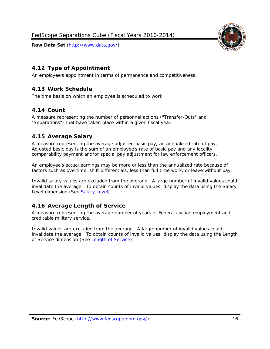

## <span id="page-16-0"></span>*4.12 Type of Appointment*

<span id="page-16-1"></span>An employee's appointment in terms of permanence and competitiveness.

## *4.13 Work Schedule*

<span id="page-16-2"></span>The time basis on which an employee is scheduled to work.

## *4.14 Count*

A measure representing the number of personnel actions ("Transfer-Outs" and "Separations") that have taken place within a given fiscal year.

## <span id="page-16-3"></span>*4.15 Average Salary*

A measure representing the average adjusted basic pay, an annualized rate of pay. Adjusted basic pay is the sum of an employee's rate of basic pay and any locality comparability payment and/or special pay adjustment for law enforcement officers.

An employee's actual earnings may be more or less than the annualized rate because of factors such as overtime, shift differentials, less than full time work, or leave without pay.

Invalid salary values are excluded from the average. A large number of invalid values could invalidate the average. To obtain counts of invalid values, display the data using the Salary Level dimension (See [Salary Level\)](#page-15-6).

## <span id="page-16-4"></span>*4.16 Average Length of Service*

A measure representing the average number of years of Federal civilian employment and creditable military service.

Invalid values are excluded from the average. A large number of invalid values could invalidate the average. To obtain counts of invalid values, display the data using the Length of Service dimension (See [Length of Service\)](#page-8-0).